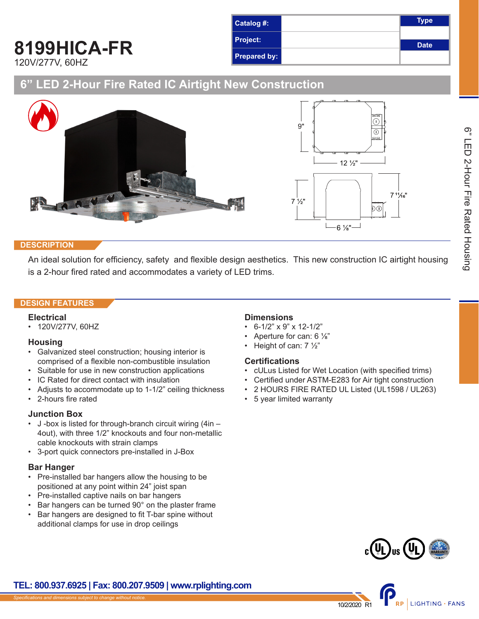## **8199HICA-FR** 120V/277V, 60HZ



## **6" LED 2-Hour Fire Rated IC Airtight New Construction**



#### **DESCRIPTION**

An ideal solution for efficiency, safety and flexible design aesthetics. This new construction IC airtight housing is a 2-hour fired rated and accommodates a variety of LED trims.

#### **DESIGN FEATURES**

#### **Electrical**

• 120V/277V, 60HZ

#### **Housing**

- Galvanized steel construction; housing interior is comprised of a flexible non-combustible insulation
- Suitable for use in new construction applications
- IC Rated for direct contact with insulation
- Adjusts to accommodate up to 1-1/2" ceiling thickness
- 2-hours fire rated

#### **Junction Box**

- J -box is listed for through-branch circuit wiring (4in 4out), with three 1/2" knockouts and four non-metallic cable knockouts with strain clamps
- 3-port quick connectors pre-installed in J-Box

#### **Bar Hanger**

- Pre-installed bar hangers allow the housing to be positioned at any point within 24" joist span
- Pre-installed captive nails on bar hangers
- Bar hangers can be turned 90° on the plaster frame
- Bar hangers are designed to fit T-bar spine without additional clamps for use in drop ceilings

#### **Dimensions**

- $\cdot$  6-1/2" x 9" x 12-1/2"
- Aperture for can: 6 ⅛"
- Height of can: 7 ½"

#### **Certifications**

- cULus Listed for Wet Location (with specified trims)
- Certified under ASTM-E283 for Air tight construction
- 2 HOURS FIRE RATED UL Listed (UL1598 / UL263)
- 5 year limited warranty